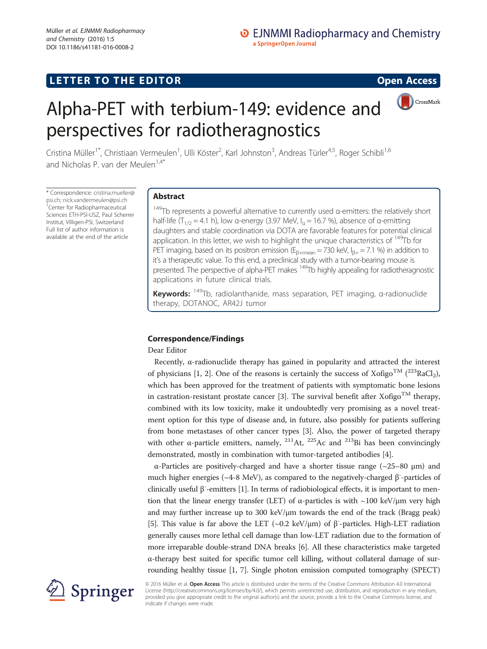# CrossMark



# Alpha-PET with terbium-149: evidence and perspectives for radiotheragnostics

Cristina Müller<sup>1\*</sup>, Christiaan Vermeulen<sup>1</sup>, Ulli Köster<sup>2</sup>, Karl Johnston<sup>3</sup>, Andreas Türler<sup>4,5</sup>, Roger Schibli<sup>1,6</sup> and Nicholas P. van der Meulen<sup>1,4\*</sup>

\* Correspondence: [cristina.mueller@](mailto:cristina.mueller@psi.ch) [psi.ch;](mailto:cristina.mueller@psi.ch) [nick.vandermeulen@psi.ch](mailto:nick.vandermeulen@psi.ch) <sup>1</sup> <sup>1</sup>Center for Radiopharmaceutical Sciences ETH-PSI-USZ, Paul Scherrer Institut, Villigen-PSI, Switzerland Full list of author information is available at the end of the article

# Abstract

 $149$ Tb represents a powerful alternative to currently used α-emitters: the relatively short half-life (T<sub>1/2</sub> = 4.1 h), low α-energy (3.97 MeV, I<sub>a</sub> = 16.7 %), absence of α-emitting daughters and stable coordination via DOTA are favorable features for potential clinical application. In this letter, we wish to highlight the unique characteristics of  $149$ Tb for PET imaging, based on its positron emission ( $E_{\beta+\text{mean}} = 730$  keV,  $I_{\beta+} = 7.1$  %) in addition to it's a therapeutic value. To this end, a preclinical study with a tumor-bearing mouse is presented. The perspective of alpha-PET makes 149Tb highly appealing for radiotheragnostic applications in future clinical trials.

**Keywords:**  $^{149}$ Tb, radiolanthanide, mass separation, PET imaging, α-radionuclide therapy, DOTANOC, AR42J tumor

## Correspondence/Findings

Dear Editor

Recently, α-radionuclide therapy has gained in popularity and attracted the interest of physicians [\[1, 2](#page-4-0)]. One of the reasons is certainly the success of Xofigo<sup>TM</sup> ( $^{223}$ RaCl<sub>2</sub>), which has been approved for the treatment of patients with symptomatic bone lesions in castration-resistant prostate cancer [[3\]](#page-4-0). The survival benefit after Xofigo<sup>TM</sup> therapy, combined with its low toxicity, make it undoubtedly very promising as a novel treatment option for this type of disease and, in future, also possibly for patients suffering from bone metastases of other cancer types [\[3](#page-4-0)]. Also, the power of targeted therapy with other  $\alpha$ -particle emitters, namely, <sup>211</sup>At, <sup>225</sup>Ac and <sup>213</sup>Bi has been convincingly demonstrated, mostly in combination with tumor-targeted antibodies [[4\]](#page-4-0).

α-Particles are positively-charged and have a shorter tissue range (~25–80 μm) and much higher energies ( $\sim$ 4-8 MeV), as compared to the negatively-charged  $\beta$ <sup>-</sup>-particles of clinically useful β<sup>-</sup>-emitters [\[1](#page-4-0)]. In terms of radiobiological effects, it is important to mention that the linear energy transfer (LET) of  $\alpha$ -particles is with ~100 keV/ $\mu$ m very high and may further increase up to 300 keV/μm towards the end of the track (Bragg peak) [[5\]](#page-4-0). This value is far above the LET (~0.2 keV/ $\mu$ m) of  $\beta$ <sup>-</sup>-particles. High-LET radiation generally causes more lethal cell damage than low-LET radiation due to the formation of more irreparable double-strand DNA breaks [\[6](#page-4-0)]. All these characteristics make targeted α-therapy best suited for specific tumor cell killing, without collateral damage of surrounding healthy tissue [\[1](#page-4-0), [7\]](#page-4-0). Single photon emission computed tomography (SPECT)



© 2016 Müller et al. Open Access This article is distributed under the terms of the Creative Commons Attribution 4.0 International License [\(http://creativecommons.org/licenses/by/4.0/](http://creativecommons.org/licenses/by/4.0/)), which permits unrestricted use, distribution, and reproduction in any medium, provided you give appropriate credit to the original author(s) and the source, provide a link to the Creative Commons license, and indicate if changes were made.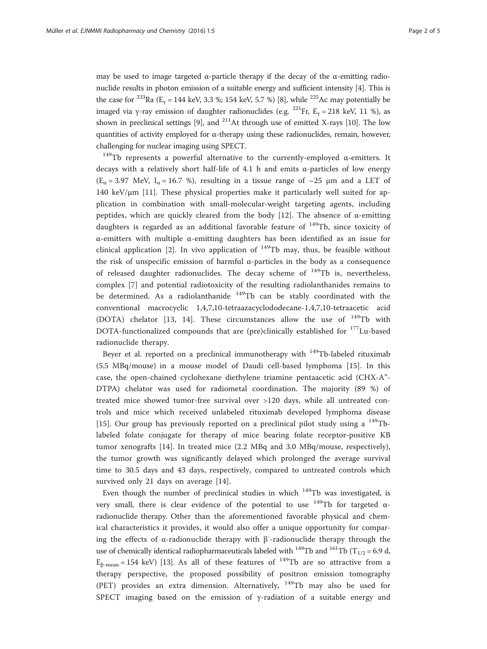may be used to image targeted  $\alpha$ -particle therapy if the decay of the  $\alpha$ -emitting radionuclide results in photon emission of a suitable energy and sufficient intensity [[4\]](#page-4-0). This is the case for <sup>223</sup>Ra ( $E_y$  = 144 keV, 3.3 %; 154 keV, 5.7 %) [\[8](#page-4-0)], while <sup>225</sup>Ac may potentially be imaged via γ-ray emission of daughter radionuclides (e.g. <sup>221</sup>Fr, E<sub>γ</sub> = 218 keV, 11 %), as shown in preclinical settings [\[9\]](#page-4-0), and  $^{211}$ At through use of emitted X-rays [[10](#page-4-0)]. The low quantities of activity employed for α-therapy using these radionuclides, remain, however, challenging for nuclear imaging using SPECT.

<sup>149</sup>Tb represents a powerful alternative to the currently-employed α-emitters. It decays with a relatively short half-life of 4.1 h and emits  $\alpha$ -particles of low energy  $(E_{\alpha} = 3.97 \text{ MeV}, I_{\alpha} = 16.7 \text{ %})$ , resulting in a tissue range of ~25 µm and a LET of 140 keV/ $\mu$ m [\[11](#page-4-0)]. These physical properties make it particularly well suited for application in combination with small-molecular-weight targeting agents, including peptides, which are quickly cleared from the body [[12\]](#page-4-0). The absence of  $\alpha$ -emitting daughters is regarded as an additional favorable feature of  $149$ Tb, since toxicity of α-emitters with multiple α-emitting daughters has been identified as an issue for clinical application [[2\]](#page-4-0). In vivo application of  $149$ Tb may, thus, be feasible without the risk of unspecific emission of harmful α-particles in the body as a consequence of released daughter radionuclides. The decay scheme of  $^{149}$ Tb is, nevertheless, complex [\[7](#page-4-0)] and potential radiotoxicity of the resulting radiolanthanides remains to be determined. As a radiolanthanide <sup>149</sup>Tb can be stably coordinated with the conventional macrocyclic 1,4,7,10-tetraazacyclododecane-1,4,7,10-tetraacetic acid (DOTA) chelator [\[13, 14\]](#page-4-0). These circumstances allow the use of <sup>149</sup>Tb with DOTA-functionalized compounds that are (pre)clinically established for <sup>177</sup>Lu-based radionuclide therapy.

Beyer et al. reported on a preclinical immunotherapy with <sup>149</sup>Tb-labeled rituximab (5.5 MBq/mouse) in a mouse model of Daudi cell-based lymphoma [\[15](#page-4-0)]. In this case, the open-chained cyclohexane diethylene triamine pentaacetic acid (CHX-A"- DTPA) chelator was used for radiometal coordination. The majority (89 %) of treated mice showed tumor-free survival over >120 days, while all untreated controls and mice which received unlabeled rituximab developed lymphoma disease [[15\]](#page-4-0). Our group has previously reported on a preclinical pilot study using a  $^{149}$ Tblabeled folate conjugate for therapy of mice bearing folate receptor-positive KB tumor xenografts [[14](#page-4-0)]. In treated mice (2.2 MBq and 3.0 MBq/mouse, respectively), the tumor growth was significantly delayed which prolonged the average survival time to 30.5 days and 43 days, respectively, compared to untreated controls which survived only 21 days on average [[14](#page-4-0)].

Even though the number of preclinical studies in which  $149$ Tb was investigated, is very small, there is clear evidence of the potential to use  $149$ Tb for targeted  $\alpha$ radionuclide therapy. Other than the aforementioned favorable physical and chemical characteristics it provides, it would also offer a unique opportunity for comparing the effects of α-radionuclide therapy with β- -radionuclide therapy through the use of chemically identical radiopharmaceuticals labeled with <sup>149</sup>Tb and <sup>161</sup>Tb (T<sub>1/2</sub> = 6.9 d,  $E_{\beta$ -mean = 154 keV) [\[13\]](#page-4-0). As all of these features of <sup>149</sup>Tb are so attractive from a therapy perspective, the proposed possibility of positron emission tomography (PET) provides an extra dimension. Alternatively,  $149$ Tb may also be used for SPECT imaging based on the emission of γ-radiation of a suitable energy and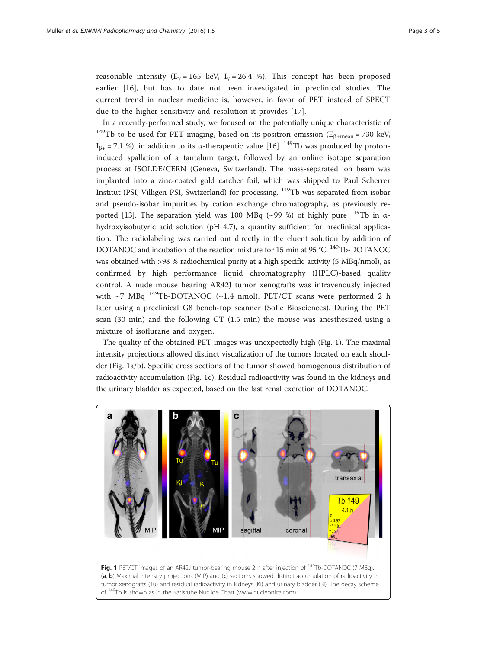reasonable intensity ( $E_y = 165$  keV,  $I_y = 26.4$  %). This concept has been proposed earlier [[16\]](#page-4-0), but has to date not been investigated in preclinical studies. The current trend in nuclear medicine is, however, in favor of PET instead of SPECT due to the higher sensitivity and resolution it provides [\[17](#page-4-0)].

In a recently-performed study, we focused on the potentially unique characteristic of <sup>149</sup>Tb to be used for PET imaging, based on its positron emission ( $E_{\beta+\text{mean}} = 730$  keV,  $I_{\beta+}$  = 7.1 %), in addition to its α-therapeutic value [[16](#page-4-0)]. <sup>149</sup>Tb was produced by protoninduced spallation of a tantalum target, followed by an online isotope separation process at ISOLDE/CERN (Geneva, Switzerland). The mass-separated ion beam was implanted into a zinc-coated gold catcher foil, which was shipped to Paul Scherrer Institut (PSI, Villigen-PSI, Switzerland) for processing. 149Tb was separated from isobar and pseudo-isobar impurities by cation exchange chromatography, as previously re-ported [\[13\]](#page-4-0). The separation yield was 100 MBq (~99 %) of highly pure  $149$ Tb in  $\alpha$ hydroxyisobutyric acid solution (pH 4.7), a quantity sufficient for preclinical application. The radiolabeling was carried out directly in the eluent solution by addition of DOTANOC and incubation of the reaction mixture for 15 min at 95 °C. <sup>149</sup>Tb-DOTANOC was obtained with >98 % radiochemical purity at a high specific activity (5 MBq/nmol), as confirmed by high performance liquid chromatography (HPLC)-based quality control. A nude mouse bearing AR42J tumor xenografts was intravenously injected with  $\sim$ 7 MBq <sup>149</sup>Tb-DOTANOC (~1.4 nmol). PET/CT scans were performed 2 h later using a preclinical G8 bench-top scanner (Sofie Biosciences). During the PET scan (30 min) and the following CT (1.5 min) the mouse was anesthesized using a mixture of isoflurane and oxygen.

The quality of the obtained PET images was unexpectedly high (Fig. 1). The maximal intensity projections allowed distinct visualization of the tumors located on each shoulder (Fig. 1a/b). Specific cross sections of the tumor showed homogenous distribution of radioactivity accumulation (Fig. 1c). Residual radioactivity was found in the kidneys and the urinary bladder as expected, based on the fast renal excretion of DOTANOC.

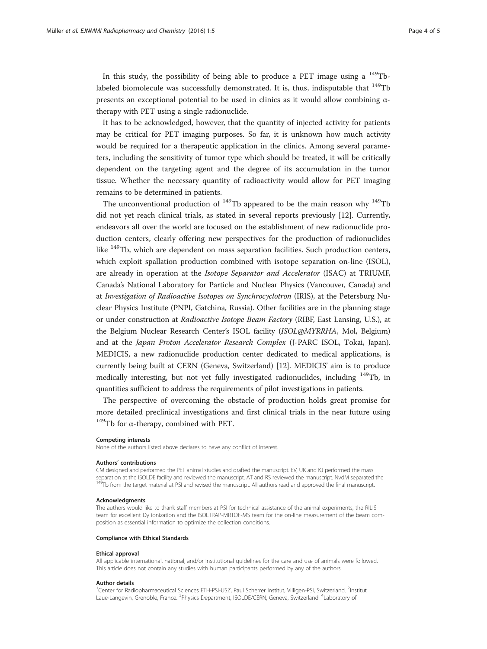In this study, the possibility of being able to produce a PET image using a  $^{149}$ Tblabeled biomolecule was successfully demonstrated. It is, thus, indisputable that  $149$ Tb presents an exceptional potential to be used in clinics as it would allow combining  $\alpha$ therapy with PET using a single radionuclide.

It has to be acknowledged, however, that the quantity of injected activity for patients may be critical for PET imaging purposes. So far, it is unknown how much activity would be required for a therapeutic application in the clinics. Among several parameters, including the sensitivity of tumor type which should be treated, it will be critically dependent on the targeting agent and the degree of its accumulation in the tumor tissue. Whether the necessary quantity of radioactivity would allow for PET imaging remains to be determined in patients.

The unconventional production of  $^{149}$ Tb appeared to be the main reason why  $^{149}$ Tb did not yet reach clinical trials, as stated in several reports previously [\[12](#page-4-0)]. Currently, endeavors all over the world are focused on the establishment of new radionuclide production centers, clearly offering new perspectives for the production of radionuclides like 149Tb, which are dependent on mass separation facilities. Such production centers, which exploit spallation production combined with isotope separation on-line (ISOL), are already in operation at the Isotope Separator and Accelerator (ISAC) at TRIUMF, Canada's National Laboratory for Particle and Nuclear Physics (Vancouver, Canada) and at Investigation of Radioactive Isotopes on Synchrocyclotron (IRIS), at the Petersburg Nuclear Physics Institute (PNPI, Gatchina, Russia). Other facilities are in the planning stage or under construction at Radioactive Isotope Beam Factory (RIBF, East Lansing, U.S.), at the Belgium Nuclear Research Center's ISOL facility (ISOL@MYRRHA, Mol, Belgium) and at the Japan Proton Accelerator Research Complex (J-PARC ISOL, Tokai, Japan). MEDICIS, a new radionuclide production center dedicated to medical applications, is currently being built at CERN (Geneva, Switzerland) [\[12\]](#page-4-0). MEDICIS' aim is to produce medically interesting, but not yet fully investigated radionuclides, including 149Tb, in quantities sufficient to address the requirements of pilot investigations in patients.

The perspective of overcoming the obstacle of production holds great promise for more detailed preclinical investigations and first clinical trials in the near future using  $149$ Tb for α-therapy, combined with PET.

#### Competing interests

None of the authors listed above declares to have any conflict of interest.

#### Authors' contributions

CM designed and performed the PET animal studies and drafted the manuscript. EV, UK and KJ performed the mass separation at the ISOLDE facility and reviewed the manuscript. AT and RS reviewed the manuscript. NvdM separated the <sup>149</sup>Tb from the target material at PSI and revised the manuscript. All authors read and approved the final manuscript.

#### **Acknowledgments**

The authors would like to thank staff members at PSI for technical assistance of the animal experiments, the RILIS team for excellent Dy ionization and the ISOLTRAP-MRTOF-MS team for the on-line measurement of the beam composition as essential information to optimize the collection conditions.

#### Compliance with Ethical Standards

### Ethical approval

All applicable international, national, and/or institutional guidelines for the care and use of animals were followed. This article does not contain any studies with human participants performed by any of the authors.

#### Author details

<sup>1</sup>Center for Radiopharmaceutical Sciences ETH-PSI-USZ, Paul Scherrer Institut, Villigen-PSI, Switzerland. <sup>2</sup>Institut Laue-Langevin, Grenoble, France. <sup>3</sup>Physics Department, ISOLDE/CERN, Geneva, Switzerland. <sup>4</sup>Laboratory of